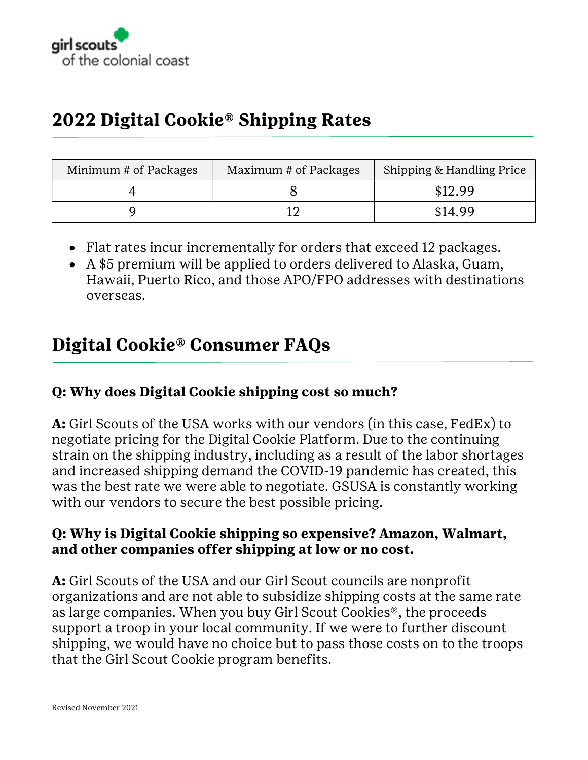

# 2022 Digital Cookie® Shipping Rates

| Minimum # of Packages | Maximum # of Packages | Shipping & Handling Price |
|-----------------------|-----------------------|---------------------------|
|                       |                       | \$12.99                   |
|                       |                       | \$14.99                   |

- Flat rates incur incrementally for orders that exceed 12 packages.
- A \$5 premium will be applied to orders delivered to Alaska, Guam, Hawaii, Puerto Rico, and those APO/FPO addresses with destinations overseas.

## Digital Cookie® Consumer FAQs

### Q: Why does Digital Cookie shipping cost so much?

A: Girl Scouts of the USA works with our vendors (in this case, FedEx) to negotiate pricing for the Digital Cookie Platform. Due to the continuing strain on the shipping industry, including as a result of the labor shortages and increased shipping demand the COVID-19 pandemic has created, this was the best rate we were able to negotiate. GSUSA is constantly working with our vendors to secure the best possible pricing.

#### Q: Why is Digital Cookie shipping so expensive? Amazon, Walmart, and other companies offer shipping at low or no cost.

A: Girl Scouts of the USA and our Girl Scout councils are nonprofit organizations and are not able to subsidize shipping costs at the same rate as large companies. When you buy Girl Scout Cookies®, the proceeds support a troop in your local community. If we were to further discount shipping, we would have no choice but to pass those costs on to the troops that the Girl Scout Cookie program benefits.